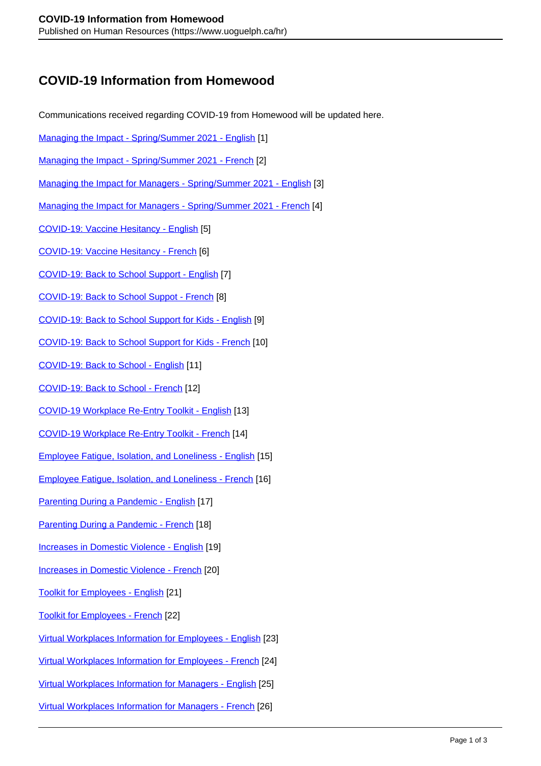## **COVID-19 Information from Homewood**

Communications received regarding COVID-19 from Homewood will be updated here.

- [Managing the Impact Spring/Summer 2021 English](https://www.uoguelph.ca/hr/system/files/Managing%20the%20Impact%20-%20Spring%20Summer%202021%20-%20ENG.pdf) [1]
- Managing the Impact Spring/Summer 2021 French [2]
- Managing the Impact for Managers Spring/Summer 2021 English [3]
- Managing the Impact for Managers Spring/Summer 2021 French [4]
- COVID-19: Vaccine Hesitancy English [5]
- COVID-19: Vaccine Hesitancy French [6]
- COVID-19: Back to School Support English [7]
- COVID-19: Back to School Suppot French [8]
- COVID-19: Back to School Support for Kids English [9]
- COVID-19: Back to School Support for Kids French [10]
- COVID-19: Back to School English [11]
- COVID-19: Back to School French [12]
- COVID-19 Workplace Re-Entry Toolkit English [13]
- COVID-19 Workplace Re-Entry Toolkit French [14]
- Employee Fatigue, Isolation, and Loneliness English [15]
- Employee Fatigue, Isolation, and Loneliness French [16]
- Parenting During a Pandemic English [17]
- Parenting During a Pandemic French [18]
- Increases in Domestic Violence English [19]
- Increases in Domestic Violence French [20]
- Toolkit for Employees English [21]
- Toolkit for Employees French [22]
- Virtual Workplaces Information for Employees English [23]
- Virtual Workplaces Information for Employees French [24]
- Virtual Workplaces Information for Managers English [25]
- Virtual Workplaces Information for Managers French [26]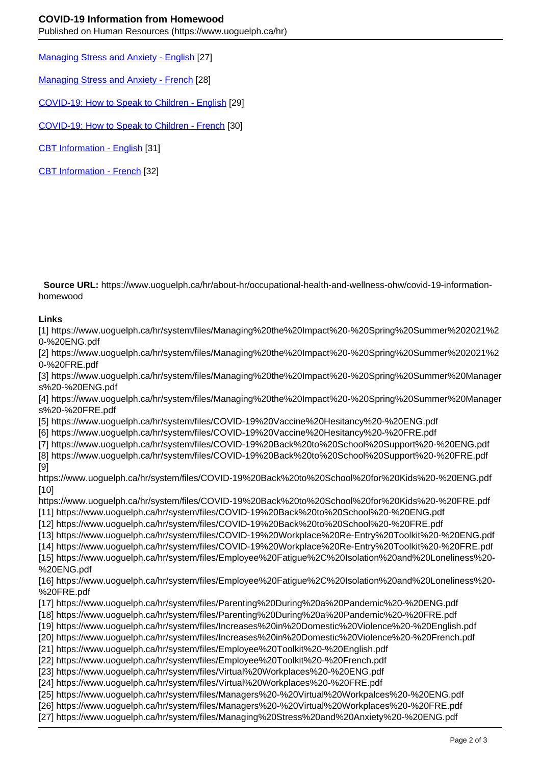Published on Human Resources (https://www.uoguelph.ca/hr)

Managing Stress and Anxiety - English [27]

Managing Stress and Anxiety - French [28]

COVID-19: How to Speak to Children - English [29]

COVID-19: How to Speak to Children - French [30]

CBT Information - English [31]

CBT Information - French [32]

 **Source URL:** https://www.uoguelph.ca/hr/about-hr/occupational-health-and-wellness-ohw/covid-19-informationhomewood

## **Links**

[1] https://www.uoguelph.ca/hr/system/files/Managing%20the%20Impact%20-%20Spring%20Summer%202021%2 0-%20ENG.pdf

[2] https://www.uoguelph.ca/hr/system/files/Managing%20the%20Impact%20-%20Spring%20Summer%202021%2 0-%20FRE.pdf

[3] https://www.uoguelph.ca/hr/system/files/Managing%20the%20Impact%20-%20Spring%20Summer%20Manager s%20-%20ENG.pdf

[4] https://www.uoguelph.ca/hr/system/files/Managing%20the%20Impact%20-%20Spring%20Summer%20Manager s%20-%20FRE.pdf

[5] https://www.uoguelph.ca/hr/system/files/COVID-19%20Vaccine%20Hesitancy%20-%20ENG.pdf

[6] https://www.uoguelph.ca/hr/system/files/COVID-19%20Vaccine%20Hesitancy%20-%20FRE.pdf

[7] https://www.uoguelph.ca/hr/system/files/COVID-19%20Back%20to%20School%20Support%20-%20ENG.pdf

[8] https://www.uoguelph.ca/hr/system/files/COVID-19%20Back%20to%20School%20Support%20-%20FRE.pdf [9]

https://www.uoguelph.ca/hr/system/files/COVID-19%20Back%20to%20School%20for%20Kids%20-%20ENG.pdf [10]

https://www.uoguelph.ca/hr/system/files/COVID-19%20Back%20to%20School%20for%20Kids%20-%20FRE.pdf

[11] https://www.uoguelph.ca/hr/system/files/COVID-19%20Back%20to%20School%20-%20ENG.pdf

[12] https://www.uoguelph.ca/hr/system/files/COVID-19%20Back%20to%20School%20-%20FRE.pdf

[13] https://www.uoguelph.ca/hr/system/files/COVID-19%20Workplace%20Re-Entry%20Toolkit%20-%20ENG.pdf

[14] https://www.uoguelph.ca/hr/system/files/COVID-19%20Workplace%20Re-Entry%20Toolkit%20-%20FRE.pdf [15] https://www.uoguelph.ca/hr/system/files/Employee%20Fatigue%2C%20Isolation%20and%20Loneliness%20-

%20ENG.pdf

[16] https://www.uoguelph.ca/hr/system/files/Employee%20Fatigue%2C%20Isolation%20and%20Loneliness%20- %20FRE.pdf

[17] https://www.uoguelph.ca/hr/system/files/Parenting%20During%20a%20Pandemic%20-%20ENG.pdf

[18] https://www.uoguelph.ca/hr/system/files/Parenting%20During%20a%20Pandemic%20-%20FRE.pdf

[19] https://www.uoguelph.ca/hr/system/files/Increases%20in%20Domestic%20Violence%20-%20English.pdf

[20] https://www.uoguelph.ca/hr/system/files/Increases%20in%20Domestic%20Violence%20-%20French.pdf

[21] https://www.uoguelph.ca/hr/system/files/Employee%20Toolkit%20-%20English.pdf

[22] https://www.uoguelph.ca/hr/system/files/Employee%20Toolkit%20-%20French.pdf

[23] https://www.uoguelph.ca/hr/system/files/Virtual%20Workplaces%20-%20ENG.pdf

[24] https://www.uoguelph.ca/hr/system/files/Virtual%20Workplaces%20-%20FRE.pdf

[25] https://www.uoguelph.ca/hr/system/files/Managers%20-%20Virtual%20Workpalces%20-%20ENG.pdf

[26] https://www.uoguelph.ca/hr/system/files/Managers%20-%20Virtual%20Workplaces%20-%20FRE.pdf

[27] https://www.uoguelph.ca/hr/system/files/Managing%20Stress%20and%20Anxiety%20-%20ENG.pdf